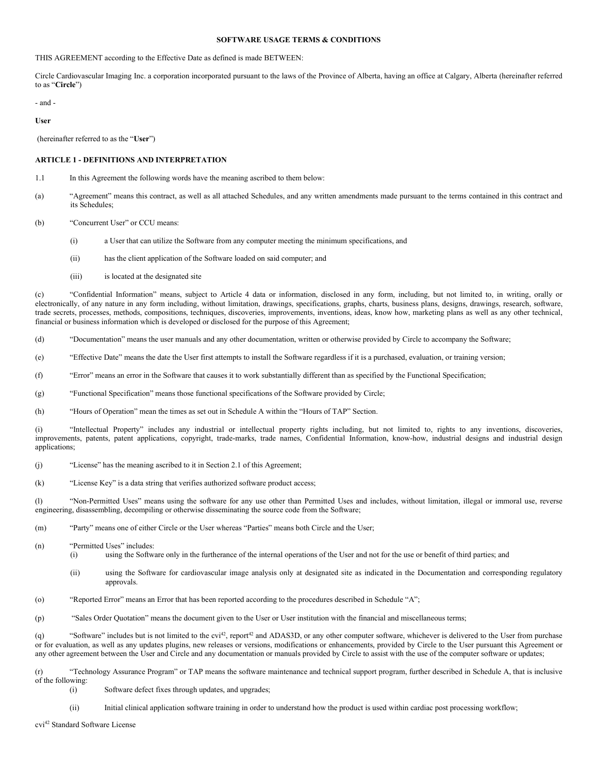# **SOFTWARE USAGE TERMS & CONDITIONS**

THIS AGREEMENT according to the Effective Date as defined is made BETWEEN:

Circle Cardiovascular Imaging Inc. a corporation incorporated pursuant to the laws of the Province of Alberta, having an office at Calgary, Alberta (hereinafter referred to as "**Circle**")

- and -

**User**

(hereinafter referred to as the "**User**")

# **ARTICLE 1 - DEFINITIONS AND INTERPRETATION**

- 1.1 In this Agreement the following words have the meaning ascribed to them below:
- (a) "Agreement" means this contract, as well as all attached Schedules, and any written amendments made pursuant to the terms contained in this contract and its Schedules;
- (b) "Concurrent User" or CCU means:
	- (i) a User that can utilize the Software from any computer meeting the minimum specifications, and
	- (ii) has the client application of the Software loaded on said computer; and
	- (iii) is located at the designated site

(c) "Confidential Information" means, subject to Article 4 data or information, disclosed in any form, including, but not limited to, in writing, orally or electronically, of any nature in any form including, without limitation, drawings, specifications, graphs, charts, business plans, designs, drawings, research, software, trade secrets, processes, methods, compositions, techniques, discoveries, improvements, inventions, ideas, know how, marketing plans as well as any other technical, financial or business information which is developed or disclosed for the purpose of this Agreement;

(d) "Documentation" means the user manuals and any other documentation, written or otherwise provided by Circle to accompany the Software;

(e) "Effective Date" means the date the User first attempts to install the Software regardless if it is a purchased, evaluation, or training version;

(f) "Error" means an error in the Software that causes it to work substantially different than as specified by the Functional Specification;

(g) "Functional Specification" means those functional specifications of the Software provided by Circle;

(h) "Hours of Operation" mean the times as set out in Schedule A within the "Hours of TAP" Section.

(i) "Intellectual Property" includes any industrial or intellectual property rights including, but not limited to, rights to any inventions, discoveries, improvements, patents, patent applications, copyright, trade-marks, trade names, Confidential Information, know-how, industrial designs and industrial design applications;

(j) "License" has the meaning ascribed to it in Section 2.1 of this Agreement;

(k) "License Key" is a data string that verifies authorized software product access;

(l) "Non-Permitted Uses" means using the software for any use other than Permitted Uses and includes, without limitation, illegal or immoral use, reverse engineering, disassembling, decompiling or otherwise disseminating the source code from the Software;

- (m) "Party" means one of either Circle or the User whereas "Parties" means both Circle and the User;
- (n) "Permitted Uses" includes:
	- (i) using the Software only in the furtherance of the internal operations of the User and not for the use or benefit of third parties; and
	- (ii) using the Software for cardiovascular image analysis only at designated site as indicated in the Documentation and corresponding regulatory approvals.
- (o) "Reported Error" means an Error that has been reported according to the procedures described in Schedule "A";
- (p) "Sales Order Quotation" means the document given to the User or User institution with the financial and miscellaneous terms;

(q) "Software" includes but is not limited to the  $\text{cvi}^{42}$ , report $42$  and ADAS3D, or any other computer software, whichever is delivered to the User from purchase or for evaluation, as well as any updates plugins, new releases or versions, modifications or enhancements, provided by Circle to the User pursuant this Agreement or any other agreement between the User and Circle and any documentation or manuals provided by Circle to assist with the use of the computer software or updates;

"Technology Assurance Program" or TAP means the software maintenance and technical support program, further described in Schedule A, that is inclusive of the following:

- (i) Software defect fixes through updates, and upgrades;
- (ii) Initial clinical application software training in order to understand how the product is used within cardiac post processing workflow;

cvi42 Standard Software License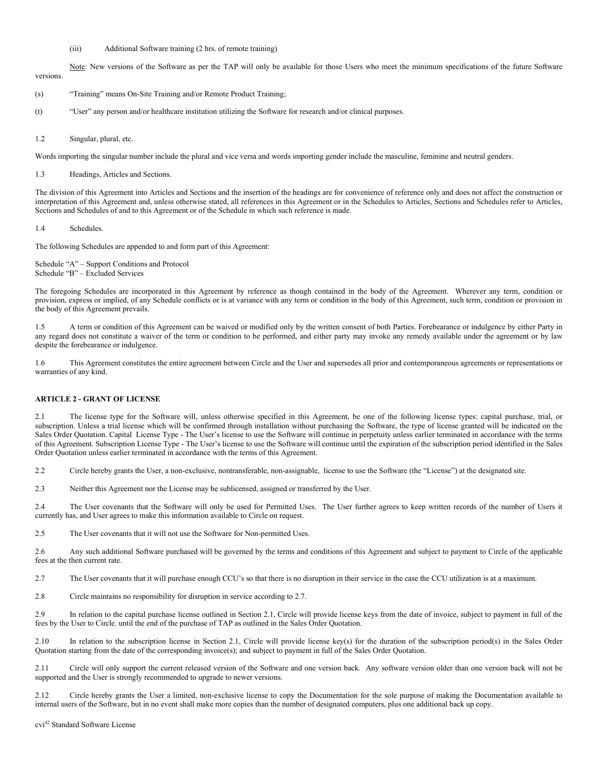### (iii) Additional Software training (2 hrs. of remote training)

Note: New versions of the Software as per the TAP will only be available for those Users who meet the minimum specifications of the future Software versions.

- (s) "Training" means On-Site Training and/or Remote Product Training;
- (t) "User" any person and/or healthcare institution utilizing the Software for research and/or clinical purposes.

1.2 Singular, plural, etc.

Words importing the singular number include the plural and vice versa and words importing gender include the masculine, feminine and neutral genders.

1.3 Headings, Articles and Sections.

The division of this Agreement into Articles and Sections and the insertion of the headings are for convenience of reference only and does not affect the construction or interpretation of this Agreement and, unless otherwise stated, all references in this Agreement or in the Schedules to Articles, Sections and Schedules refer to Articles, Sections and Schedules of and to this Agreement or of the Schedule in which such reference is made.

1.4 Schedules.

The following Schedules are appended to and form part of this Agreement:

Schedule "A" – Support Conditions and Protocol Schedule "B" – Excluded Services

The foregoing Schedules are incorporated in this Agreement by reference as though contained in the body of the Agreement. Wherever any term, condition or provision, express or implied, of any Schedule conflicts or is at variance with any term or condition in the body of this Agreement, such term, condition or provision in the body of this Agreement prevails.

1.5 A term or condition of this Agreement can be waived or modified only by the written consent of both Parties. Forebearance or indulgence by either Party in any regard does not constitute a waiver of the term or condition to be performed, and either party may invoke any remedy available under the agreement or by law despite the forebearance or indulgence.

1.6 This Agreement constitutes the entire agreement between Circle and the User and supersedes all prior and contemporaneous agreements or representations or warranties of any kind.

### **ARTICLE 2 - GRANT OF LICENSE**

2.1 The license type for the Software will, unless otherwise specified in this Agreement, be one of the following license types: capital purchase, trial, or subscription. Unless a trial license which will be confirmed through installation without purchasing the Software, the type of license granted will be indicated on the Sales Order Quotation. Capital License Type - The User's license to use the Software will continue in perpetuity unless earlier terminated in accordance with the terms of this Agreement. Subscription License Type - The User's license to use the Software will continue until the expiration of the subscription period identified in the Sales Order Quotation unless earlier terminated in accordance with the terms of this Agreement.

2.2 Circle hereby grants the User, a non-exclusive, nontransferable, non-assignable, license to use the Software (the "License") at the designated site.

2.3 Neither this Agreement nor the License may be sublicensed, assigned or transferred by the User.

2.4 The User covenants that the Software will only be used for Permitted Uses. The User further agrees to keep written records of the number of Users it currently has, and User agrees to make this information available to Circle on request.

2.5 The User covenants that it will not use the Software for Non-permitted Uses.

2.6 Any such additional Software purchased will be governed by the terms and conditions of this Agreement and subject to payment to Circle of the applicable fees at the then current rate.

2.7 The User covenants that it will purchase enough CCU's so that there is no disruption in their service in the case the CCU utilization is at a maximum.

2.8 Circle maintains no responsibility for disruption in service according to 2.7.

2.9 In relation to the capital purchase license outlined in Section 2.1, Circle will provide license keys from the date of invoice, subject to payment in full of the fees by the User to Circle. until the end of the purchase of TAP as outlined in the Sales Order Quotation.

2.10 In relation to the subscription license in Section 2.1, Circle will provide license key(s) for the duration of the subscription period(s) in the Sales Order Quotation starting from the date of the corresponding invoice(s); and subject to payment in full of the Sales Order Quotation.

2.11 Circle will only support the current released version of the Software and one version back. Any software version older than one version back will not be supported and the User is strongly recommended to upgrade to newer versions.

2.12 Circle hereby grants the User a limited, non-exclusive license to copy the Documentation for the sole purpose of making the Documentation available to internal users of the Software, but in no event shall make more copies than the number of designated computers, plus one additional back up copy.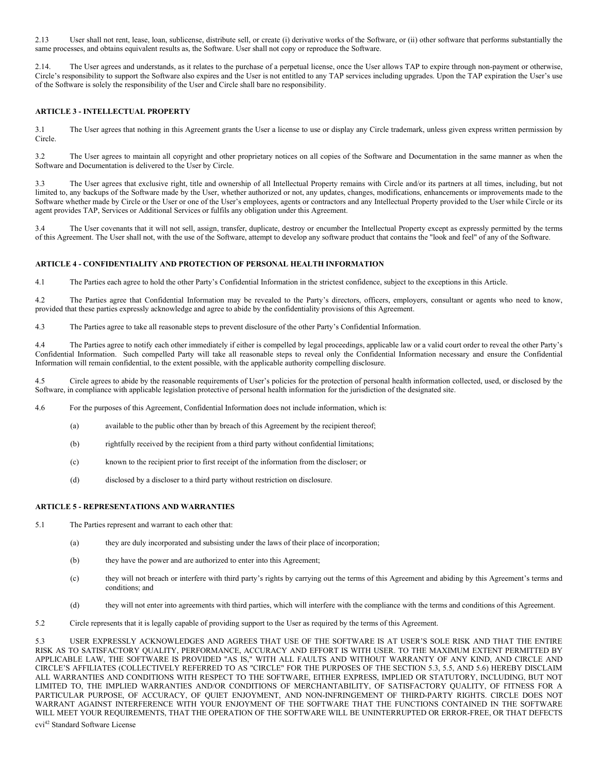2.13 User shall not rent, lease, loan, sublicense, distribute sell, or create (i) derivative works of the Software, or (ii) other software that performs substantially the same processes, and obtains equivalent results as, the Software. User shall not copy or reproduce the Software.

2.14. The User agrees and understands, as it relates to the purchase of a perpetual license, once the User allows TAP to expire through non-payment or otherwise, Circle's responsibility to support the Software also expires and the User is not entitled to any TAP services including upgrades. Upon the TAP expiration the User's use of the Software is solely the responsibility of the User and Circle shall bare no responsibility.

# **ARTICLE 3 - INTELLECTUAL PROPERTY**

3.1 The User agrees that nothing in this Agreement grants the User a license to use or display any Circle trademark, unless given express written permission by Circle.

3.2 The User agrees to maintain all copyright and other proprietary notices on all copies of the Software and Documentation in the same manner as when the Software and Documentation is delivered to the User by Circle.

3.3 The User agrees that exclusive right, title and ownership of all Intellectual Property remains with Circle and/or its partners at all times, including, but not limited to, any backups of the Software made by the User, whether authorized or not, any updates, changes, modifications, enhancements or improvements made to the Software whether made by Circle or the User or one of the User's employees, agents or contractors and any Intellectual Property provided to the User while Circle or its agent provides TAP, Services or Additional Services or fulfils any obligation under this Agreement.

3.4 The User covenants that it will not sell, assign, transfer, duplicate, destroy or encumber the Intellectual Property except as expressly permitted by the terms of this Agreement. The User shall not, with the use of the Software, attempt to develop any software product that contains the "look and feel" of any of the Software.

## **ARTICLE 4 - CONFIDENTIALITY AND PROTECTION OF PERSONAL HEALTH INFORMATION**

4.1 The Parties each agree to hold the other Party's Confidential Information in the strictest confidence, subject to the exceptions in this Article.

4.2 The Parties agree that Confidential Information may be revealed to the Party's directors, officers, employers, consultant or agents who need to know, provided that these parties expressly acknowledge and agree to abide by the confidentiality provisions of this Agreement.

4.3 The Parties agree to take all reasonable steps to prevent disclosure of the other Party's Confidential Information.

4.4 The Parties agree to notify each other immediately if either is compelled by legal proceedings, applicable law or a valid court order to reveal the other Party's Confidential Information. Such compelled Party will take all reasonable steps to reveal only the Confidential Information necessary and ensure the Confidential Information will remain confidential, to the extent possible, with the applicable authority compelling disclosure.

4.5 Circle agrees to abide by the reasonable requirements of User's policies for the protection of personal health information collected, used, or disclosed by the Software, in compliance with applicable legislation protective of personal health information for the jurisdiction of the designated site.

4.6 For the purposes of this Agreement, Confidential Information does not include information, which is:

- (a) available to the public other than by breach of this Agreement by the recipient thereof;
- (b) rightfully received by the recipient from a third party without confidential limitations;
- (c) known to the recipient prior to first receipt of the information from the discloser; or
- (d) disclosed by a discloser to a third party without restriction on disclosure.

# **ARTICLE 5 - REPRESENTATIONS AND WARRANTIES**

- 5.1 The Parties represent and warrant to each other that:
	- (a) they are duly incorporated and subsisting under the laws of their place of incorporation;
	- (b) they have the power and are authorized to enter into this Agreement;
	- (c) they will not breach or interfere with third party's rights by carrying out the terms of this Agreement and abiding by this Agreement's terms and conditions; and
	- (d) they will not enter into agreements with third parties, which will interfere with the compliance with the terms and conditions of this Agreement.
- 5.2 Circle represents that it is legally capable of providing support to the User as required by the terms of this Agreement.

cvi42 Standard Software License 5.3 USER EXPRESSLY ACKNOWLEDGES AND AGREES THAT USE OF THE SOFTWARE IS AT USER'S SOLE RISK AND THAT THE ENTIRE RISK AS TO SATISFACTORY QUALITY, PERFORMANCE, ACCURACY AND EFFORT IS WITH USER. TO THE MAXIMUM EXTENT PERMITTED BY APPLICABLE LAW, THE SOFTWARE IS PROVIDED "AS IS," WITH ALL FAULTS AND WITHOUT WARRANTY OF ANY KIND, AND CIRCLE AND CIRCLE'S AFFILIATES (COLLECTIVELY REFERRED TO AS "CIRCLE" FOR THE PURPOSES OF THE SECTION 5.3, 5.5, AND 5.6) HEREBY DISCLAIM ALL WARRANTIES AND CONDITIONS WITH RESPECT TO THE SOFTWARE, EITHER EXPRESS, IMPLIED OR STATUTORY, INCLUDING, BUT NOT LIMITED TO, THE IMPLIED WARRANTIES AND/OR CONDITIONS OF MERCHANTABILITY, OF SATISFACTORY QUALITY, OF FITNESS FOR A PARTICULAR PURPOSE, OF ACCURACY, OF QUIET ENJOYMENT, AND NON-INFRINGEMENT OF THIRD-PARTY RIGHTS. CIRCLE DOES NOT WARRANT AGAINST INTERFERENCE WITH YOUR ENJOYMENT OF THE SOFTWARE THAT THE FUNCTIONS CONTAINED IN THE SOFTWARE WILL MEET YOUR REQUIREMENTS, THAT THE OPERATION OF THE SOFTWARE WILL BE UNINTERRUPTED OR ERROR-FREE, OR THAT DEFECTS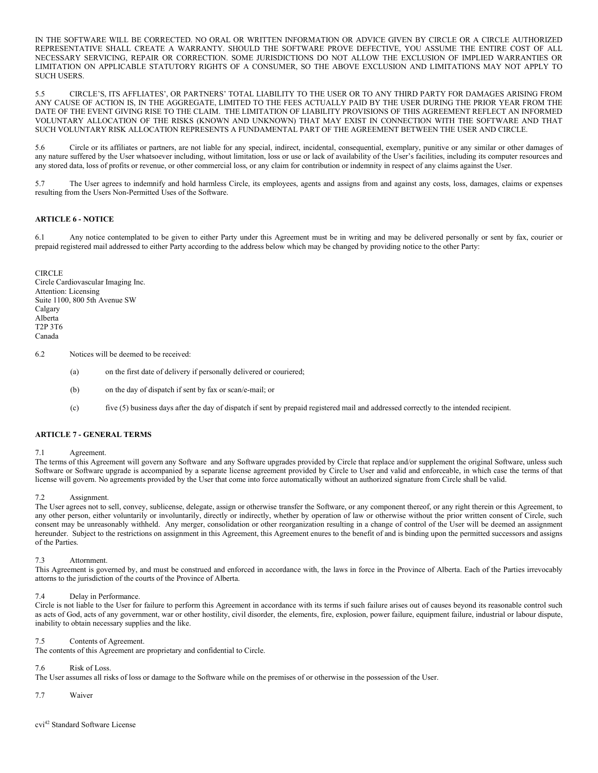IN THE SOFTWARE WILL BE CORRECTED. NO ORAL OR WRITTEN INFORMATION OR ADVICE GIVEN BY CIRCLE OR A CIRCLE AUTHORIZED REPRESENTATIVE SHALL CREATE A WARRANTY. SHOULD THE SOFTWARE PROVE DEFECTIVE, YOU ASSUME THE ENTIRE COST OF ALL NECESSARY SERVICING, REPAIR OR CORRECTION. SOME JURISDICTIONS DO NOT ALLOW THE EXCLUSION OF IMPLIED WARRANTIES OR LIMITATION ON APPLICABLE STATUTORY RIGHTS OF A CONSUMER, SO THE ABOVE EXCLUSION AND LIMITATIONS MAY NOT APPLY TO SUCH USERS.

5.5 CIRCLE'S, ITS AFFLIATES', OR PARTNERS' TOTAL LIABILITY TO THE USER OR TO ANY THIRD PARTY FOR DAMAGES ARISING FROM ANY CAUSE OF ACTION IS, IN THE AGGREGATE, LIMITED TO THE FEES ACTUALLY PAID BY THE USER DURING THE PRIOR YEAR FROM THE DATE OF THE EVENT GIVING RISE TO THE CLAIM. THE LIMITATION OF LIABILITY PROVISIONS OF THIS AGREEMENT REFLECT AN INFORMED VOLUNTARY ALLOCATION OF THE RISKS (KNOWN AND UNKNOWN) THAT MAY EXIST IN CONNECTION WITH THE SOFTWARE AND THAT SUCH VOLUNTARY RISK ALLOCATION REPRESENTS A FUNDAMENTAL PART OF THE AGREEMENT BETWEEN THE USER AND CIRCLE.

5.6 Circle or its affiliates or partners, are not liable for any special, indirect, incidental, consequential, exemplary, punitive or any similar or other damages of any nature suffered by the User whatsoever including, without limitation, loss or use or lack of availability of the User's facilities, including its computer resources and any stored data, loss of profits or revenue, or other commercial loss, or any claim for contribution or indemnity in respect of any claims against the User.

5.7 The User agrees to indemnify and hold harmless Circle, its employees, agents and assigns from and against any costs, loss, damages, claims or expenses resulting from the Users Non-Permitted Uses of the Software.

# **ARTICLE 6 - NOTICE**

6.1 Any notice contemplated to be given to either Party under this Agreement must be in writing and may be delivered personally or sent by fax, courier or prepaid registered mail addressed to either Party according to the address below which may be changed by providing notice to the other Party:

**CIRCLE** Circle Cardiovascular Imaging Inc. Attention: Licensing Suite 1100, 800 5th Avenue SW Calgary Alberta T2P 3T6 Canada

6.2 Notices will be deemed to be received:

- (a) on the first date of delivery if personally delivered or couriered;
- (b) on the day of dispatch if sent by fax or scan/e-mail; or
- (c) five (5) business days after the day of dispatch if sent by prepaid registered mail and addressed correctly to the intended recipient.

## **ARTICLE 7 - GENERAL TERMS**

### 7.1 Agreement.

The terms of this Agreement will govern any Software and any Software upgrades provided by Circle that replace and/or supplement the original Software, unless such Software or Software upgrade is accompanied by a separate license agreement provided by Circle to User and valid and enforceable, in which case the terms of that license will govern. No agreements provided by the User that come into force automatically without an authorized signature from Circle shall be valid.

### 7.2 Assignment.

The User agrees not to sell, convey, sublicense, delegate, assign or otherwise transfer the Software, or any component thereof, or any right therein or this Agreement, to any other person, either voluntarily or involuntarily, directly or indirectly, whether by operation of law or otherwise without the prior written consent of Circle, such consent may be unreasonably withheld. Any merger, consolidation or other reorganization resulting in a change of control of the User will be deemed an assignment hereunder. Subject to the restrictions on assignment in this Agreement, this Agreement enures to the benefit of and is binding upon the permitted successors and assigns of the Parties.

### 7.3 Attornment.

This Agreement is governed by, and must be construed and enforced in accordance with, the laws in force in the Province of Alberta. Each of the Parties irrevocably attorns to the jurisdiction of the courts of the Province of Alberta.

## 7.4 Delay in Performance.

Circle is not liable to the User for failure to perform this Agreement in accordance with its terms if such failure arises out of causes beyond its reasonable control such as acts of God, acts of any government, war or other hostility, civil disorder, the elements, fire, explosion, power failure, equipment failure, industrial or labour dispute, inability to obtain necessary supplies and the like.

### 7.5 Contents of Agreement.

The contents of this Agreement are proprietary and confidential to Circle.

### 7.6 Risk of Loss.

The User assumes all risks of loss or damage to the Software while on the premises of or otherwise in the possession of the User.

7.7 Waiver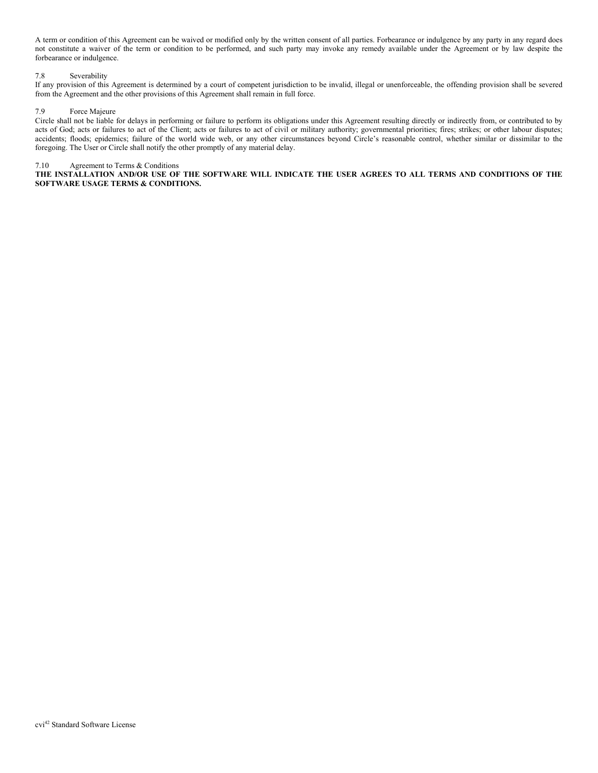A term or condition of this Agreement can be waived or modified only by the written consent of all parties. Forbearance or indulgence by any party in any regard does not constitute a waiver of the term or condition to be performed, and such party may invoke any remedy available under the Agreement or by law despite the forbearance or indulgence.

# 7.8 Severability

If any provision of this Agreement is determined by a court of competent jurisdiction to be invalid, illegal or unenforceable, the offending provision shall be severed from the Agreement and the other provisions of this Agreement shall remain in full force.

## 7.9 Force Majeure

Circle shall not be liable for delays in performing or failure to perform its obligations under this Agreement resulting directly or indirectly from, or contributed to by acts of God; acts or failures to act of the Client; acts or failures to act of civil or military authority; governmental priorities; fires; strikes; or other labour disputes; accidents; floods; epidemics; failure of the world wide web, or any other circumstances beyond Circle's reasonable control, whether similar or dissimilar to the foregoing. The User or Circle shall notify the other promptly of any material delay.

## 7.10 Agreement to Terms & Conditions

**THE INSTALLATION AND/OR USE OF THE SOFTWARE WILL INDICATE THE USER AGREES TO ALL TERMS AND CONDITIONS OF THE SOFTWARE USAGE TERMS & CONDITIONS.**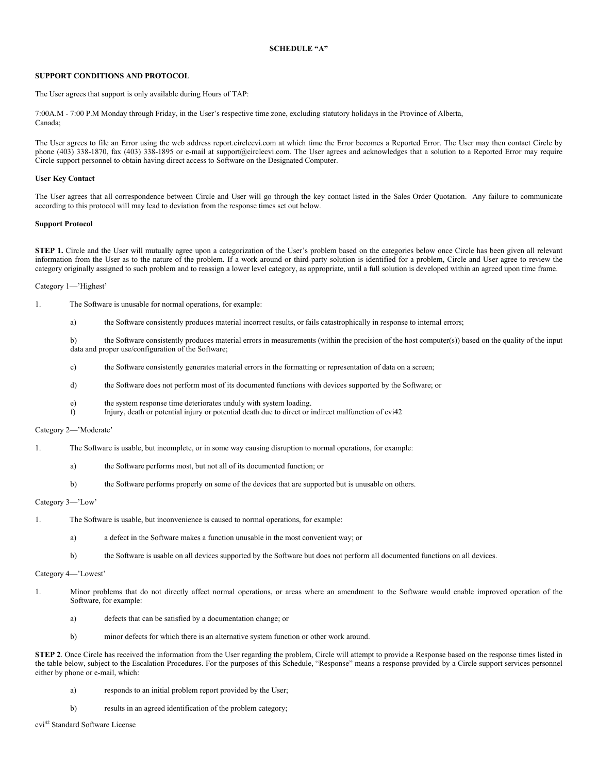## **SCHEDULE "A"**

## **SUPPORT CONDITIONS AND PROTOCOL**

The User agrees that support is only available during Hours of TAP:

7:00A.M - 7:00 P.M Monday through Friday, in the User's respective time zone, excluding statutory holidays in the Province of Alberta, Canada;

The User agrees to file an Error using the web address [report.circlecvi.com](mailto:report@circlecvi.com) at which time the Error becomes a Reported Error. The User may then contact Circle by phone (403) 338-1870, fax (403) 338-1895 or e-mail a[t support@circlecvi.com.](mailto:support@circlecvi.com) The User agrees and acknowledges that a solution to a Reported Error may require Circle support personnel to obtain having direct access to Software on the Designated Computer.

### **User Key Contact**

The User agrees that all correspondence between Circle and User will go through the key contact listed in the Sales Order Quotation. Any failure to communicate according to this protocol will may lead to deviation from the response times set out below.

## **Support Protocol**

**STEP 1.** Circle and the User will mutually agree upon a categorization of the User's problem based on the categories below once Circle has been given all relevant information from the User as to the nature of the problem. If a work around or third-party solution is identified for a problem, Circle and User agree to review the category originally assigned to such problem and to reassign a lower level category, as appropriate, until a full solution is developed within an agreed upon time frame.

Category 1—'Highest'

- 1. The Software is unusable for normal operations, for example:
	- a) the Software consistently produces material incorrect results, or fails catastrophically in response to internal errors;

b) the Software consistently produces material errors in measurements (within the precision of the host computer(s)) based on the quality of the input data and proper use/configuration of the Software;

- c) the Software consistently generates material errors in the formatting or representation of data on a screen;
- d) the Software does not perform most of its documented functions with devices supported by the Software; or
- e) the system response time deteriorates unduly with system loading.
- f) Injury, death or potential injury or potential death due to direct or indirect malfunction of cvi42

## Category 2—'Moderate'

- 1. The Software is usable, but incomplete, or in some way causing disruption to normal operations, for example:
	- a) the Software performs most, but not all of its documented function; or
	- b) the Software performs properly on some of the devices that are supported but is unusable on others.

#### Category 3—'Low'

- 1. The Software is usable, but inconvenience is caused to normal operations, for example:
	- a) a defect in the Software makes a function unusable in the most convenient way; or
	- b) the Software is usable on all devices supported by the Software but does not perform all documented functions on all devices.

### Category 4—'Lowest'

- 1. Minor problems that do not directly affect normal operations, or areas where an amendment to the Software would enable improved operation of the Software, for example:
	- a) defects that can be satisfied by a documentation change; or
	- b) minor defects for which there is an alternative system function or other work around.

**STEP 2**. Once Circle has received the information from the User regarding the problem, Circle will attempt to provide a Response based on the response times listed in the table below, subject to the Escalation Procedures. For the purposes of this Schedule, "Response" means a response provided by a Circle support services personnel either by phone or e-mail, which:

- a) responds to an initial problem report provided by the User;
- b) results in an agreed identification of the problem category;

cvi42 Standard Software License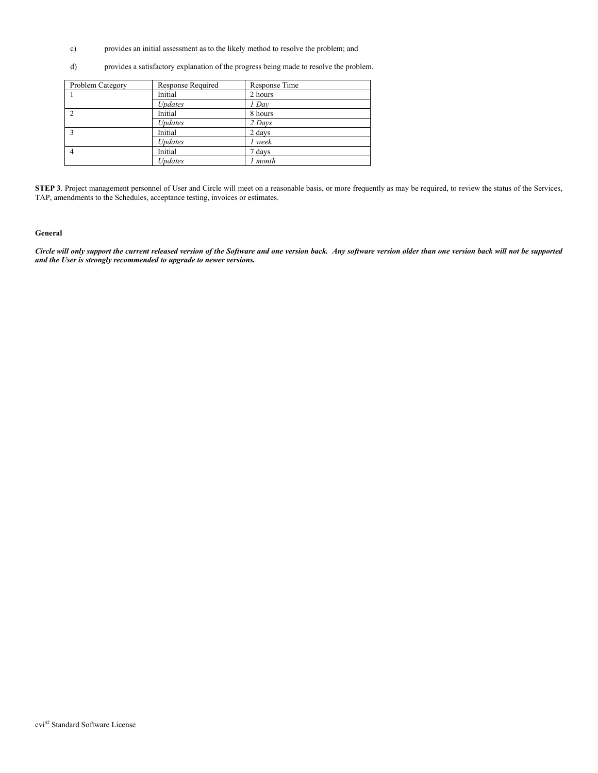- c) provides an initial assessment as to the likely method to resolve the problem; and
- d) provides a satisfactory explanation of the progress being made to resolve the problem.

| Problem Category | Response Required | Response Time |
|------------------|-------------------|---------------|
|                  | Initial           | 2 hours       |
|                  | Updates           | 1 Day         |
| $\mathcal{L}$    | Initial           | 8 hours       |
|                  | Updates           | 2 Days        |
|                  | Initial           | 2 days        |
|                  | <b>Updates</b>    | 1 week        |
|                  | Initial           | 7 days        |
|                  | <b>Updates</b>    | month         |

**STEP 3**. Project management personnel of User and Circle will meet on a reasonable basis, or more frequently as may be required, to review the status of the Services, TAP, amendments to the Schedules, acceptance testing, invoices or estimates.

# **General**

*Circle will only support the current released version of the Software and one version back. Any software version older than one version back will not be supported and the User is strongly recommended to upgrade to newer versions.*